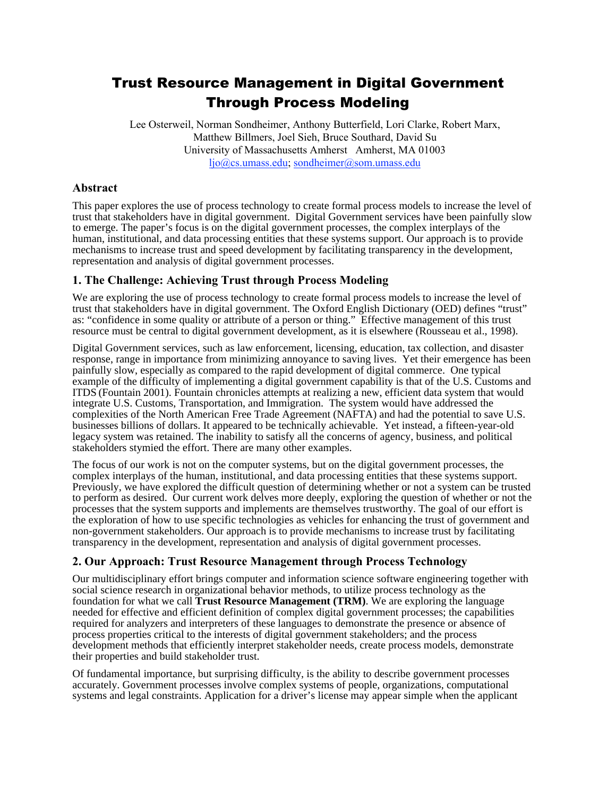# Trust Resource Management in Digital Government Through Process Modeling

Lee Osterweil, Norman Sondheimer, Anthony Butterfield, Lori Clarke, Robert Marx, Matthew Billmers, Joel Sieh, Bruce Southard, David Su University of Massachusetts Amherst Amherst, MA 01003 ljo@cs.umass.edu; sondheimer@som.umass.edu

# **Abstract**

This paper explores the use of process technology to create formal process models to increase the level of trust that stakeholders have in digital government. Digital Government services have been painfully slow to emerge. The paper's focus is on the digital government processes, the complex interplays of the human, institutional, and data processing entities that these systems support. Our approach is to provide mechanisms to increase trust and speed development by facilitating transparency in the development, representation and analysis of digital government processes.

## **1. The Challenge: Achieving Trust through Process Modeling**

We are exploring the use of process technology to create formal process models to increase the level of trust that stakeholders have in digital government. The Oxford English Dictionary (OED) defines "trust" as: "confidence in some quality or attribute of a person or thing." Effective management of this trust resource must be central to digital government development, as it is elsewhere (Rousseau et al., 1998).

Digital Government services, such as law enforcement, licensing, education, tax collection, and disaster response, range in importance from minimizing annoyance to saving lives. Yet their emergence has been painfully slow, especially as compared to the rapid development of digital commerce. One typical example of the difficulty of implementing a digital government capability is that of the U.S. Customs and ITDS (Fountain 2001). Fountain chronicles attempts at realizing a new, efficient data system that would integrate U.S. Customs, Transportation, and Immigration. The system would have addressed the complexities of the North American Free Trade Agreement (NAFTA) and had the potential to save U.S. businesses billions of dollars. It appeared to be technically achievable. Yet instead, a fifteen-year-old legacy system was retained. The inability to satisfy all the concerns of agency, business, and political stakeholders stymied the effort. There are many other examples.

The focus of our work is not on the computer systems, but on the digital government processes, the complex interplays of the human, institutional, and data processing entities that these systems support. Previously, we have explored the difficult question of determining whether or not a system can be trusted to perform as desired. Our current work delves more deeply, exploring the question of whether or not the processes that the system supports and implements are themselves trustworthy. The goal of our effort is the exploration of how to use specific technologies as vehicles for enhancing the trust of government and non-government stakeholders. Our approach is to provide mechanisms to increase trust by facilitating transparency in the development, representation and analysis of digital government processes.

# **2. Our Approach: Trust Resource Management through Process Technology**

Our multidisciplinary effort brings computer and information science software engineering together with social science research in organizational behavior methods, to utilize process technology as the foundation for what we call **Trust Resource Management (TRM)**. We are exploring the language needed for effective and efficient definition of complex digital government processes; the capabilities required for analyzers and interpreters of these languages to demonstrate the presence or absence of process properties critical to the interests of digital government stakeholders; and the process development methods that efficiently interpret stakeholder needs, create process models, demonstrate their properties and build stakeholder trust.

Of fundamental importance, but surprising difficulty, is the ability to describe government processes accurately. Government processes involve complex systems of people, organizations, computational systems and legal constraints. Application for a driver's license may appear simple when the applicant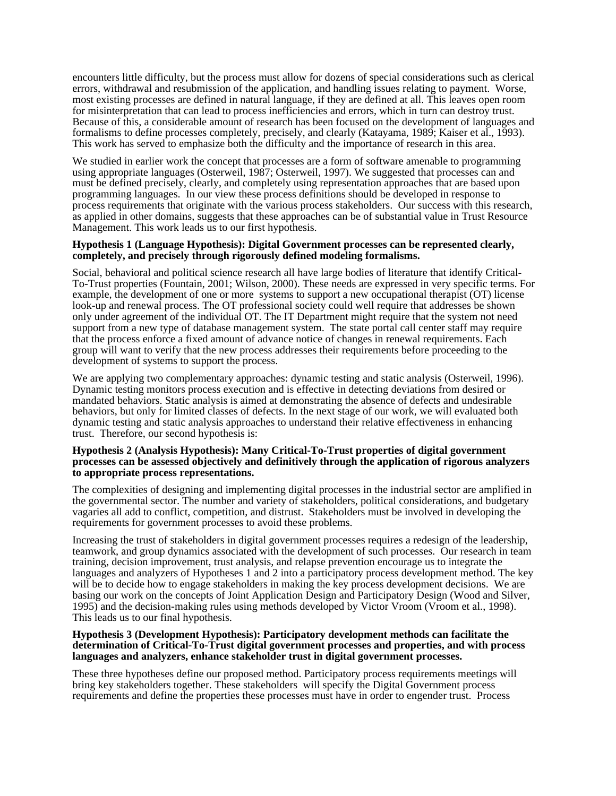encounters little difficulty, but the process must allow for dozens of special considerations such as clerical errors, withdrawal and resubmission of the application, and handling issues relating to payment. Worse, most existing processes are defined in natural language, if they are defined at all. This leaves open room for misinterpretation that can lead to process inefficiencies and errors, which in turn can destroy trust. Because of this, a considerable amount of research has been focused on the development of languages and formalisms to define processes completely, precisely, and clearly (Katayama, 1989; Kaiser et al., 1993). This work has served to emphasize both the difficulty and the importance of research in this area.

We studied in earlier work the concept that processes are a form of software amenable to programming using appropriate languages (Osterweil, 1987; Osterweil, 1997). We suggested that processes can and must be defined precisely, clearly, and completely using representation approaches that are based upon programming languages. In our view these process definitions should be developed in response to process requirements that originate with the various process stakeholders. Our success with this research, as applied in other domains, suggests that these approaches can be of substantial value in Trust Resource Management. This work leads us to our first hypothesis.

#### **Hypothesis 1 (Language Hypothesis): Digital Government processes can be represented clearly, completely, and precisely through rigorously defined modeling formalisms.**

Social, behavioral and political science research all have large bodies of literature that identify Critical-To-Trust properties (Fountain, 2001; Wilson, 2000). These needs are expressed in very specific terms. For example, the development of one or more systems to support a new occupational therapist (OT) license look-up and renewal process. The OT professional society could well require that addresses be shown only under agreement of the individual OT. The IT Department might require that the system not need support from a new type of database management system. The state portal call center staff may require that the process enforce a fixed amount of advance notice of changes in renewal requirements. Each group will want to verify that the new process addresses their requirements before proceeding to the development of systems to support the process.

We are applying two complementary approaches: dynamic testing and static analysis (Osterweil, 1996). Dynamic testing monitors process execution and is effective in detecting deviations from desired or mandated behaviors. Static analysis is aimed at demonstrating the absence of defects and undesirable behaviors, but only for limited classes of defects. In the next stage of our work, we will evaluated both dynamic testing and static analysis approaches to understand their relative effectiveness in enhancing trust. Therefore, our second hypothesis is:

#### **Hypothesis 2 (Analysis Hypothesis): Many Critical-To-Trust properties of digital government processes can be assessed objectively and definitively through the application of rigorous analyzers to appropriate process representations.**

The complexities of designing and implementing digital processes in the industrial sector are amplified in the governmental sector. The number and variety of stakeholders, political considerations, and budgetary vagaries all add to conflict, competition, and distrust. Stakeholders must be involved in developing the requirements for government processes to avoid these problems.

Increasing the trust of stakeholders in digital government processes requires a redesign of the leadership, teamwork, and group dynamics associated with the development of such processes. Our research in team training, decision improvement, trust analysis, and relapse prevention encourage us to integrate the languages and analyzers of Hypotheses 1 and 2 into a participatory process development method. The key will be to decide how to engage stakeholders in making the key process development decisions. We are basing our work on the concepts of Joint Application Design and Participatory Design (Wood and Silver, 1995) and the decision-making rules using methods developed by Victor Vroom (Vroom et al., 1998). This leads us to our final hypothesis.

#### **Hypothesis 3 (Development Hypothesis): Participatory development methods can facilitate the determination of Critical-To-Trust digital government processes and properties, and with process languages and analyzers, enhance stakeholder trust in digital government processes.**

These three hypotheses define our proposed method. Participatory process requirements meetings will bring key stakeholders together. These stakeholders will specify the Digital Government process requirements and define the properties these processes must have in order to engender trust. Process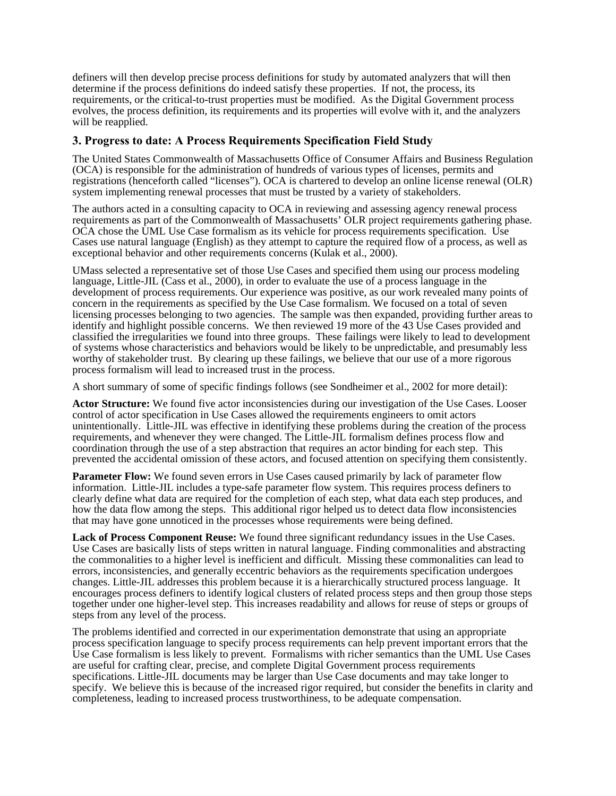definers will then develop precise process definitions for study by automated analyzers that will then determine if the process definitions do indeed satisfy these properties. If not, the process, its requirements, or the critical-to-trust properties must be modified. As the Digital Government process evolves, the process definition, its requirements and its properties will evolve with it, and the analyzers will be reapplied.

# **3. Progress to date: A Process Requirements Specification Field Study**

The United States Commonwealth of Massachusetts Office of Consumer Affairs and Business Regulation (OCA) is responsible for the administration of hundreds of various types of licenses, permits and registrations (henceforth called "licenses"). OCA is chartered to develop an online license renewal (OLR) system implementing renewal processes that must be trusted by a variety of stakeholders.

The authors acted in a consulting capacity to OCA in reviewing and assessing agency renewal process requirements as part of the Commonwealth of Massachusetts' OLR project requirements gathering phase. OCA chose the UML Use Case formalism as its vehicle for process requirements specification. Use Cases use natural language (English) as they attempt to capture the required flow of a process, as well as exceptional behavior and other requirements concerns (Kulak et al., 2000).

UMass selected a representative set of those Use Cases and specified them using our process modeling language, Little-JIL (Cass et al., 2000), in order to evaluate the use of a process language in the development of process requirements. Our experience was positive, as our work revealed many points of concern in the requirements as specified by the Use Case formalism. We focused on a total of seven licensing processes belonging to two agencies. The sample was then expanded, providing further areas to identify and highlight possible concerns. We then reviewed 19 more of the 43 Use Cases provided and classified the irregularities we found into three groups. These failings were likely to lead to development of systems whose characteristics and behaviors would be likely to be unpredictable, and presumably less worthy of stakeholder trust. By clearing up these failings, we believe that our use of a more rigorous process formalism will lead to increased trust in the process.

A short summary of some of specific findings follows (see Sondheimer et al., 2002 for more detail):

**Actor Structure:** We found five actor inconsistencies during our investigation of the Use Cases. Looser control of actor specification in Use Cases allowed the requirements engineers to omit actors unintentionally. Little-JIL was effective in identifying these problems during the creation of the process requirements, and whenever they were changed. The Little-JIL formalism defines process flow and coordination through the use of a step abstraction that requires an actor binding for each step. This prevented the accidental omission of these actors, and focused attention on specifying them consistently.

**Parameter Flow:** We found seven errors in Use Cases caused primarily by lack of parameter flow information. Little-JIL includes a type-safe parameter flow system. This requires process definers to clearly define what data are required for the completion of each step, what data each step produces, and how the data flow among the steps. This additional rigor helped us to detect data flow inconsistencies that may have gone unnoticed in the processes whose requirements were being defined.

**Lack of Process Component Reuse:** We found three significant redundancy issues in the Use Cases. Use Cases are basically lists of steps written in natural language. Finding commonalities and abstracting the commonalities to a higher level is inefficient and difficult. Missing these commonalities can lead to errors, inconsistencies, and generally eccentric behaviors as the requirements specification undergoes changes. Little-JIL addresses this problem because it is a hierarchically structured process language. It encourages process definers to identify logical clusters of related process steps and then group those steps together under one higher-level step. This increases readability and allows for reuse of steps or groups of steps from any level of the process.

The problems identified and corrected in our experimentation demonstrate that using an appropriate process specification language to specify process requirements can help prevent important errors that the Use Case formalism is less likely to prevent. Formalisms with richer semantics than the UML Use Cases are useful for crafting clear, precise, and complete Digital Government process requirements specifications. Little-JIL documents may be larger than Use Case documents and may take longer to specify. We believe this is because of the increased rigor required, but consider the benefits in clarity and completeness, leading to increased process trustworthiness, to be adequate compensation.